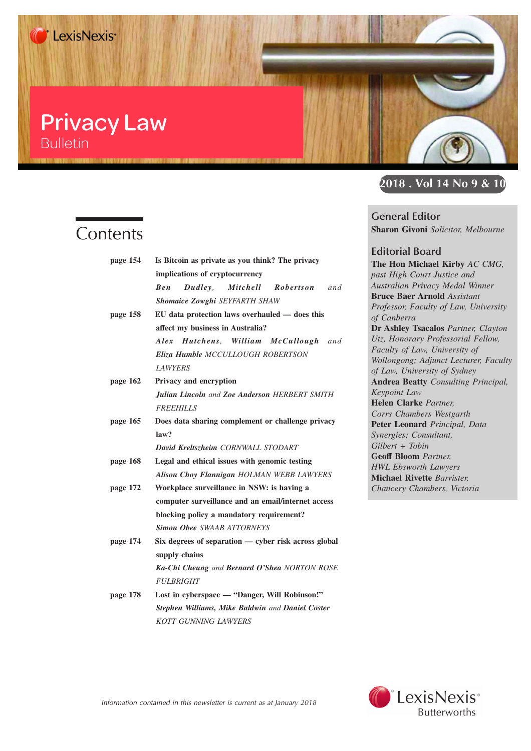### **Privacy Law Bulletin**

## **Contents**

| page 154 | Is Bitcoin as private as you think? The privacy      |
|----------|------------------------------------------------------|
|          | implications of cryptocurrency                       |
|          | Mitchell<br>Robertson<br>$Dudley$ ,<br>and<br>Ben    |
|          | <b>Shomaice Zowghi SEYFARTH SHAW</b>                 |
| page 158 | EU data protection laws overhauled — does this       |
|          | affect my business in Australia?                     |
|          | Alex Hutchens, William McCullough and                |
|          | Eliza Humble MCCULLOUGH ROBERTSON                    |
|          | <b>LAWYERS</b>                                       |
| page 162 | <b>Privacy and encryption</b>                        |
|          | <b>Julian Lincoln and Zoe Anderson HERBERT SMITH</b> |
|          | <b>FREEHILLS</b>                                     |
| page 165 | Does data sharing complement or challenge privacy    |
|          | law?                                                 |
|          | David Kreltszheim CORNWALL STODART                   |
| page 168 | Legal and ethical issues with genomic testing        |
|          | Alison Choy Flannigan HOLMAN WEBB LAWYERS            |
| page 172 | Workplace surveillance in NSW: is having a           |
|          | computer surveillance and an email/internet access   |
|          | blocking policy a mandatory requirement?             |
|          | <b>Simon Obee SWAAB ATTORNEYS</b>                    |
| page 174 | Six degrees of separation — cyber risk across global |
|          | supply chains                                        |
|          | Ka-Chi Cheung and Bernard O'Shea NORTON ROSE         |
|          | <b>FULBRIGHT</b>                                     |
| page 178 | Lost in cyberspace — "Danger, Will Robinson!"        |
|          | Stephen Williams, Mike Baldwin and Daniel Coster     |
|          | <b>KOTT GUNNING LAWYERS</b>                          |



**General Editor Sharon Givoni** *Solicitor, Melbourne*

**Editorial Board The Hon Michael Kirby** *AC CMG, past High Court Justice and Australian Privacy Medal Winner* **Bruce Baer Arnold** *Assistant Professor, Faculty of Law, University of Canberra* **Dr Ashley Tsacalos** *Partner, Clayton Utz, Honorary Professorial Fellow, Faculty of Law, University of Wollongong; Adjunct Lecturer, Faculty of Law, University of Sydney* **Andrea Beatty** *Consulting Principal, Keypoint Law* **Helen Clarke** *Partner, Corrs Chambers Westgarth* **Peter Leonard** *Principal, Data Synergies; Consultant, Gilbert + Tobin* **Geoff Bloom** *Partner, HWL Ebsworth Lawyers* **Michael Rivette** *Barrister, Chancery Chambers, Victoria*

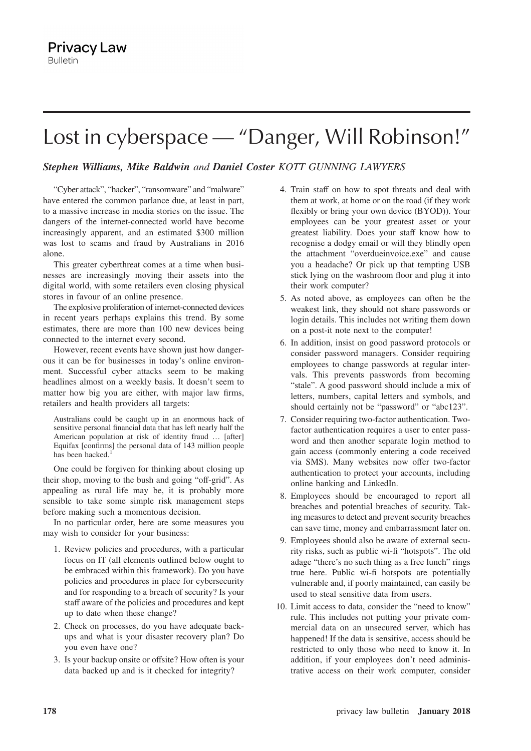# Lost in cyberspace — "Danger, Will Robinson!"

### *Stephen Williams, Mike Baldwin and Daniel Coster KOTT GUNNING LAWYERS*

"Cyber attack", "hacker", "ransomware" and "malware" have entered the common parlance due, at least in part, to a massive increase in media stories on the issue. The dangers of the internet-connected world have become increasingly apparent, and an estimated \$300 million was lost to scams and fraud by Australians in 2016 alone.

This greater cyberthreat comes at a time when businesses are increasingly moving their assets into the digital world, with some retailers even closing physical stores in favour of an online presence.

The explosive proliferation of internet-connected devices in recent years perhaps explains this trend. By some estimates, there are more than 100 new devices being connected to the internet every second.

However, recent events have shown just how dangerous it can be for businesses in today's online environment. Successful cyber attacks seem to be making headlines almost on a weekly basis. It doesn't seem to matter how big you are either, with major law firms, retailers and health providers all targets:

Australians could be caught up in an enormous hack of sensitive personal financial data that has left nearly half the American population at risk of identity fraud … [after] Equifax [confirms] the personal data of 143 million people has been hacked.<sup>1</sup>

One could be forgiven for thinking about closing up their shop, moving to the bush and going "off-grid". As appealing as rural life may be, it is probably more sensible to take some simple risk management steps before making such a momentous decision.

In no particular order, here are some measures you may wish to consider for your business:

- 1. Review policies and procedures, with a particular focus on IT (all elements outlined below ought to be embraced within this framework). Do you have policies and procedures in place for cybersecurity and for responding to a breach of security? Is your staff aware of the policies and procedures and kept up to date when these change?
- 2. Check on processes, do you have adequate backups and what is your disaster recovery plan? Do you even have one?
- 3. Is your backup onsite or offsite? How often is your data backed up and is it checked for integrity?
- 4. Train staff on how to spot threats and deal with them at work, at home or on the road (if they work flexibly or bring your own device (BYOD)). Your employees can be your greatest asset or your greatest liability. Does your staff know how to recognise a dodgy email or will they blindly open the attachment "overdueinvoice.exe" and cause you a headache? Or pick up that tempting USB stick lying on the washroom floor and plug it into their work computer?
- 5. As noted above, as employees can often be the weakest link, they should not share passwords or login details. This includes not writing them down on a post-it note next to the computer!
- 6. In addition, insist on good password protocols or consider password managers. Consider requiring employees to change passwords at regular intervals. This prevents passwords from becoming "stale". A good password should include a mix of letters, numbers, capital letters and symbols, and should certainly not be "password" or "abc123".
- 7. Consider requiring two-factor authentication. Twofactor authentication requires a user to enter password and then another separate login method to gain access (commonly entering a code received via SMS). Many websites now offer two-factor authentication to protect your accounts, including online banking and LinkedIn.
- 8. Employees should be encouraged to report all breaches and potential breaches of security. Taking measures to detect and prevent security breaches can save time, money and embarrassment later on.
- 9. Employees should also be aware of external security risks, such as public wi-fi "hotspots". The old adage "there's no such thing as a free lunch" rings true here. Public wi-fi hotspots are potentially vulnerable and, if poorly maintained, can easily be used to steal sensitive data from users.
- 10. Limit access to data, consider the "need to know" rule. This includes not putting your private commercial data on an unsecured server, which has happened! If the data is sensitive, access should be restricted to only those who need to know it. In addition, if your employees don't need administrative access on their work computer, consider